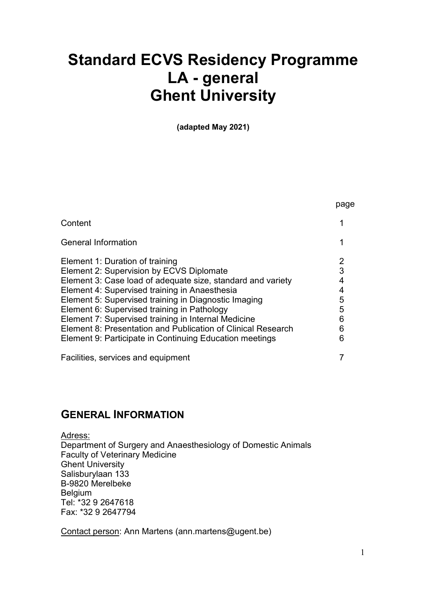# Standard ECVS Residency Programme LA - general Ghent University

(adapted May 2021)

|                                                              | page |
|--------------------------------------------------------------|------|
| Content                                                      |      |
| <b>General Information</b>                                   |      |
| Element 1: Duration of training                              |      |
| <b>Element 2: Supervision by ECVS Diplomate</b>              | 3    |
| Element 3: Case load of adequate size, standard and variety  |      |
| Element 4: Supervised training in Anaesthesia                |      |
| Element 5: Supervised training in Diagnostic Imaging         | 5    |
| Element 6: Supervised training in Pathology                  | 5    |
| Element 7: Supervised training in Internal Medicine          | 6    |
| Element 8: Presentation and Publication of Clinical Research | 6    |
| Element 9: Participate in Continuing Education meetings      | 6    |
| Facilities, services and equipment                           |      |

# GENERAL INFORMATION

Adress:

Department of Surgery and Anaesthesiology of Domestic Animals Faculty of Veterinary Medicine Ghent University Salisburylaan 133 B-9820 Merelbeke Belgium Tel: \*32 9 2647618 Fax: \*32 9 2647794

Contact person: Ann Martens (ann.martens@ugent.be)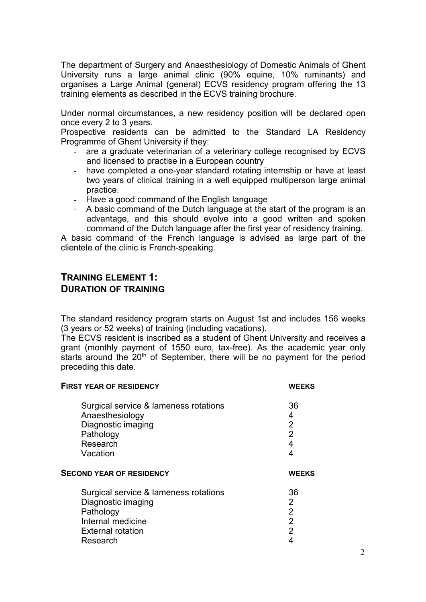The department of Surgery and Anaesthesiology of Domestic Animals of Ghent University runs a large animal clinic (90% equine, 10% ruminants) and organises a Large Animal (general) ECVS residency program offering the 13 training elements as described in the ECVS training brochure.

Under normal circumstances, a new residency position will be declared open once every 2 to 3 years.

Prospective residents can be admitted to the Standard LA Residency Programme of Ghent University if they:

- are a graduate veterinarian of a veterinary college recognised by ECVS and licensed to practise in a European country
- have completed a one-year standard rotating internship or have at least two years of clinical training in a well equipped multiperson large animal practice.
- Have a good command of the English language
- A basic command of the Dutch language at the start of the program is an advantage, and this should evolve into a good written and spoken command of the Dutch language after the first year of residency training.

A basic command of the French language is advised as large part of the clientele of the clinic is French-speaking.

#### TRAINING ELEMENT 1: DURATION OF TRAINING

The standard residency program starts on August 1st and includes 156 weeks (3 years or 52 weeks) of training (including vacations).

The ECVS resident is inscribed as a student of Ghent University and receives a grant (monthly payment of 1550 euro, tax-free). As the academic year only starts around the 20<sup>th</sup> of September, there will be no payment for the period preceding this date.

| <b>FIRST YEAR OF RESIDENCY</b>        | <b>WEEKS</b>   |
|---------------------------------------|----------------|
| Surgical service & lameness rotations | 36             |
| Anaesthesiology                       | 4              |
| Diagnostic imaging                    | $\overline{2}$ |
| Pathology                             | $\overline{2}$ |
| Research                              | 4              |
| Vacation                              | 4              |
| <b>SECOND YEAR OF RESIDENCY</b>       | <b>WEEKS</b>   |
| Surgical service & lameness rotations | 36             |
| Diagnostic imaging                    | 2              |
| Pathology                             | $\overline{2}$ |
| Internal medicine                     | $\overline{2}$ |
| <b>External rotation</b>              | 2              |
| Research                              | 4              |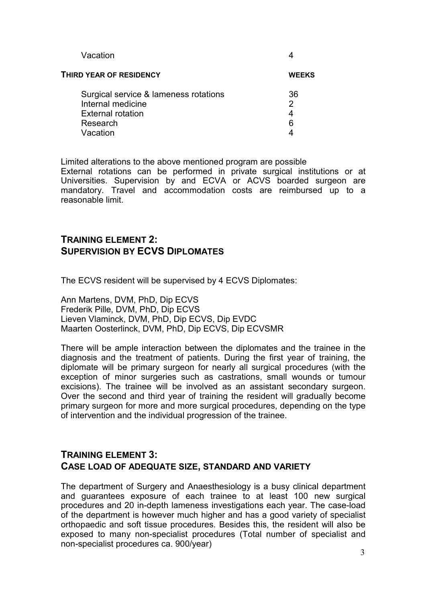| Vacation                              |              |
|---------------------------------------|--------------|
| THIRD YEAR OF RESIDENCY               | <b>WEEKS</b> |
| Surgical service & lameness rotations | 36           |
| Internal medicine                     | 2            |
| <b>External rotation</b>              |              |
| Research                              | 6            |
| Vacation                              |              |

Limited alterations to the above mentioned program are possible

External rotations can be performed in private surgical institutions or at Universities. Supervision by and ECVA or ACVS boarded surgeon are mandatory. Travel and accommodation costs are reimbursed up to a reasonable limit.

# TRAINING ELEMENT 2: SUPERVISION BY ECVS DIPLOMATES

The ECVS resident will be supervised by 4 ECVS Diplomates:

Ann Martens, DVM, PhD, Dip ECVS Frederik Pille, DVM, PhD, Dip ECVS Lieven Vlaminck, DVM, PhD, Dip ECVS, Dip EVDC Maarten Oosterlinck, DVM, PhD, Dip ECVS, Dip ECVSMR

There will be ample interaction between the diplomates and the trainee in the diagnosis and the treatment of patients. During the first year of training, the diplomate will be primary surgeon for nearly all surgical procedures (with the exception of minor surgeries such as castrations, small wounds or tumour excisions). The trainee will be involved as an assistant secondary surgeon. Over the second and third year of training the resident will gradually become primary surgeon for more and more surgical procedures, depending on the type of intervention and the individual progression of the trainee.

# TRAINING ELEMENT 3: CASE LOAD OF ADEQUATE SIZE, STANDARD AND VARIETY

The department of Surgery and Anaesthesiology is a busy clinical department and guarantees exposure of each trainee to at least 100 new surgical procedures and 20 in-depth lameness investigations each year. The case-load of the department is however much higher and has a good variety of specialist orthopaedic and soft tissue procedures. Besides this, the resident will also be exposed to many non-specialist procedures (Total number of specialist and non-specialist procedures ca. 900/year)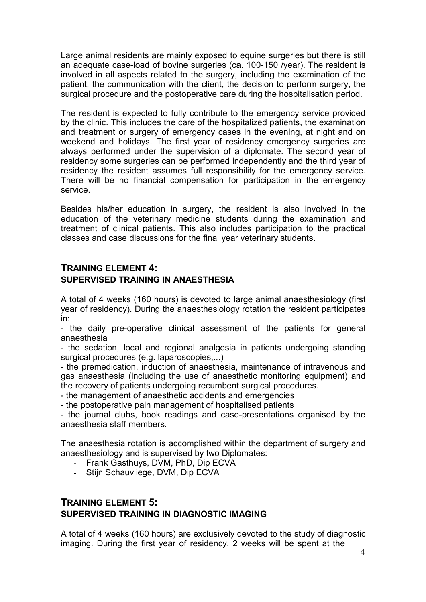Large animal residents are mainly exposed to equine surgeries but there is still an adequate case-load of bovine surgeries (ca. 100-150 /year). The resident is involved in all aspects related to the surgery, including the examination of the patient, the communication with the client, the decision to perform surgery, the surgical procedure and the postoperative care during the hospitalisation period.

The resident is expected to fully contribute to the emergency service provided by the clinic. This includes the care of the hospitalized patients, the examination and treatment or surgery of emergency cases in the evening, at night and on weekend and holidays. The first year of residency emergency surgeries are always performed under the supervision of a diplomate. The second year of residency some surgeries can be performed independently and the third year of residency the resident assumes full responsibility for the emergency service. There will be no financial compensation for participation in the emergency service.

Besides his/her education in surgery, the resident is also involved in the education of the veterinary medicine students during the examination and treatment of clinical patients. This also includes participation to the practical classes and case discussions for the final year veterinary students.

#### TRAINING ELEMENT 4: SUPERVISED TRAINING IN ANAESTHESIA

A total of 4 weeks (160 hours) is devoted to large animal anaesthesiology (first year of residency). During the anaesthesiology rotation the resident participates in:

- the daily pre-operative clinical assessment of the patients for general anaesthesia

- the sedation, local and regional analgesia in patients undergoing standing surgical procedures (e.g. laparoscopies,...)

- the premedication, induction of anaesthesia, maintenance of intravenous and gas anaesthesia (including the use of anaesthetic monitoring equipment) and the recovery of patients undergoing recumbent surgical procedures.

- the management of anaesthetic accidents and emergencies

- the postoperative pain management of hospitalised patients

- the journal clubs, book readings and case-presentations organised by the anaesthesia staff members.

The anaesthesia rotation is accomplished within the department of surgery and anaesthesiology and is supervised by two Diplomates:

- Frank Gasthuys, DVM, PhD, Dip ECVA
- Stijn Schauvliege, DVM, Dip ECVA

# TRAINING ELEMENT 5: SUPERVISED TRAINING IN DIAGNOSTIC IMAGING

A total of 4 weeks (160 hours) are exclusively devoted to the study of diagnostic imaging. During the first year of residency, 2 weeks will be spent at the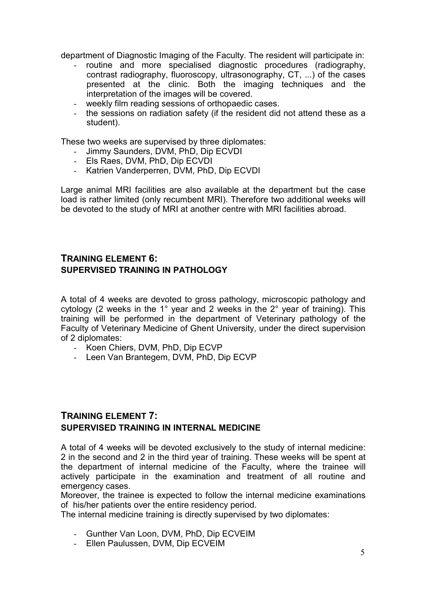department of Diagnostic Imaging of the Faculty. The resident will participate in:

- routine and more specialised diagnostic procedures (radiography, contrast radiography, fluoroscopy, ultrasonography, CT, ...) of the cases presented at the clinic. Both the imaging techniques and the interpretation of the images will be covered.
- weekly film reading sessions of orthopaedic cases.
- the sessions on radiation safety (if the resident did not attend these as a student).

These two weeks are supervised by three diplomates:

- Jimmy Saunders, DVM, PhD, Dip ECVDI
- Els Raes, DVM, PhD, Dip ECVDI
- Katrien Vanderperren, DVM, PhD, Dip ECVDI

Large animal MRI facilities are also available at the department but the case load is rather limited (only recumbent MRI). Therefore two additional weeks will be devoted to the study of MRI at another centre with MRI facilities abroad.

# TRAINING ELEMENT 6: SUPERVISED TRAINING IN PATHOLOGY

A total of 4 weeks are devoted to gross pathology, microscopic pathology and cytology (2 weeks in the 1° year and 2 weeks in the 2° year of training). This training will be performed in the department of Veterinary pathology of the Faculty of Veterinary Medicine of Ghent University, under the direct supervision of 2 diplomates:

- Koen Chiers, DVM, PhD, Dip ECVP
- Leen Van Brantegem, DVM, PhD, Dip ECVP

## TRAINING ELEMENT 7: SUPERVISED TRAINING IN INTERNAL MEDICINE

A total of 4 weeks will be devoted exclusively to the study of internal medicine: 2 in the second and 2 in the third year of training. These weeks will be spent at the department of internal medicine of the Faculty, where the trainee will actively participate in the examination and treatment of all routine and emergency cases.

Moreover, the trainee is expected to follow the internal medicine examinations of his/her patients over the entire residency period.

The internal medicine training is directly supervised by two diplomates:

- Gunther Van Loon, DVM, PhD, Dip ECVEIM
- Ellen Paulussen, DVM, Dip ECVEIM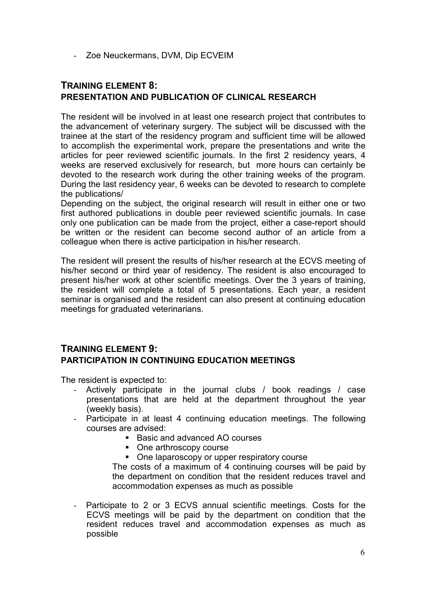- Zoe Neuckermans, DVM, Dip ECVEIM

# TRAINING ELEMENT 8: PRESENTATION AND PUBLICATION OF CLINICAL RESEARCH

The resident will be involved in at least one research project that contributes to the advancement of veterinary surgery. The subject will be discussed with the trainee at the start of the residency program and sufficient time will be allowed to accomplish the experimental work, prepare the presentations and write the articles for peer reviewed scientific journals. In the first 2 residency years, 4 weeks are reserved exclusively for research, but more hours can certainly be devoted to the research work during the other training weeks of the program. During the last residency year, 6 weeks can be devoted to research to complete the publications/

Depending on the subject, the original research will result in either one or two first authored publications in double peer reviewed scientific journals. In case only one publication can be made from the project, either a case-report should be written or the resident can become second author of an article from a colleague when there is active participation in his/her research.

The resident will present the results of his/her research at the ECVS meeting of his/her second or third year of residency. The resident is also encouraged to present his/her work at other scientific meetings. Over the 3 years of training, the resident will complete a total of 5 presentations. Each year, a resident seminar is organised and the resident can also present at continuing education meetings for graduated veterinarians.

# TRAINING ELEMENT 9: PARTICIPATION IN CONTINUING EDUCATION MEETINGS

The resident is expected to:

- Actively participate in the journal clubs / book readings / case presentations that are held at the department throughout the year (weekly basis).
- Participate in at least 4 continuing education meetings. The following courses are advised:
	- Basic and advanced AO courses
	- One arthroscopy course
	- One laparoscopy or upper respiratory course

The costs of a maximum of 4 continuing courses will be paid by the department on condition that the resident reduces travel and accommodation expenses as much as possible

Participate to 2 or 3 ECVS annual scientific meetings. Costs for the ECVS meetings will be paid by the department on condition that the resident reduces travel and accommodation expenses as much as possible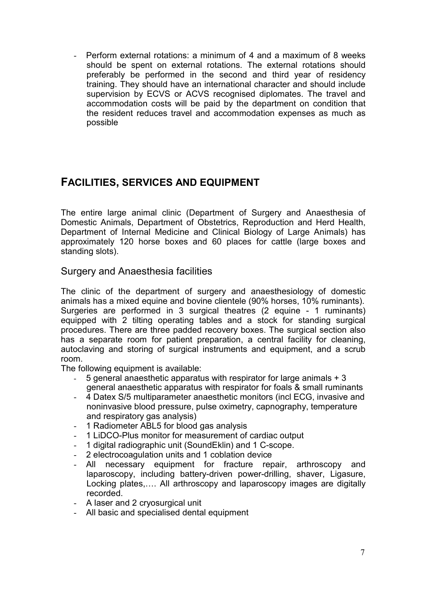Perform external rotations: a minimum of 4 and a maximum of 8 weeks should be spent on external rotations. The external rotations should preferably be performed in the second and third year of residency training. They should have an international character and should include supervision by ECVS or ACVS recognised diplomates. The travel and accommodation costs will be paid by the department on condition that the resident reduces travel and accommodation expenses as much as possible

# FACILITIES, SERVICES AND EQUIPMENT

The entire large animal clinic (Department of Surgery and Anaesthesia of Domestic Animals, Department of Obstetrics, Reproduction and Herd Health, Department of Internal Medicine and Clinical Biology of Large Animals) has approximately 120 horse boxes and 60 places for cattle (large boxes and standing slots).

# Surgery and Anaesthesia facilities

The clinic of the department of surgery and anaesthesiology of domestic animals has a mixed equine and bovine clientele (90% horses, 10% ruminants). Surgeries are performed in 3 surgical theatres (2 equine - 1 ruminants) equipped with 2 tilting operating tables and a stock for standing surgical procedures. There are three padded recovery boxes. The surgical section also has a separate room for patient preparation, a central facility for cleaning, autoclaving and storing of surgical instruments and equipment, and a scrub room.

The following equipment is available:

- 5 general anaesthetic apparatus with respirator for large animals + 3 general anaesthetic apparatus with respirator for foals & small ruminants
- 4 Datex S/5 multiparameter anaesthetic monitors (incl ECG, invasive and noninvasive blood pressure, pulse oximetry, capnography, temperature and respiratory gas analysis)
- 1 Radiometer ABL5 for blood gas analysis
- 1 LiDCO-Plus monitor for measurement of cardiac output
- 1 digital radiographic unit (SoundEklin) and 1 C-scope.
- 2 electrocoagulation units and 1 coblation device
- All necessary equipment for fracture repair, arthroscopy and laparoscopy, including battery-driven power-drilling, shaver, Ligasure, Locking plates,…. All arthroscopy and laparoscopy images are digitally recorded.
- A laser and 2 cryosurgical unit
- All basic and specialised dental equipment